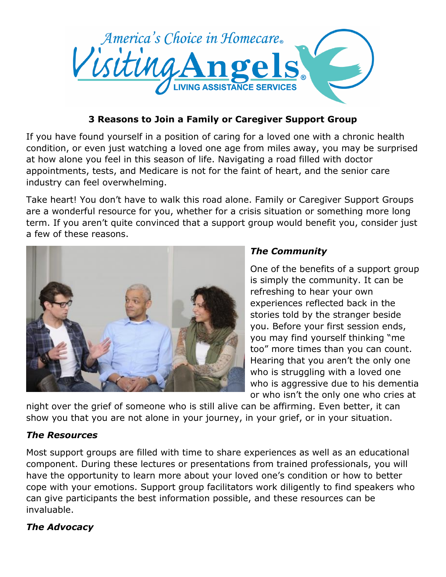

## **3 Reasons to Join a Family or Caregiver Support Group**

If you have found yourself in a position of caring for a loved one with a chronic health condition, or even just watching a loved one age from miles away, you may be surprised at how alone you feel in this season of life. Navigating a road filled with doctor appointments, tests, and Medicare is not for the faint of heart, and the senior care industry can feel overwhelming.

Take heart! You don't have to walk this road alone. Family or Caregiver Support Groups are a wonderful resource for you, whether for a crisis situation or something more long term. If you aren't quite convinced that a support group would benefit you, consider just a few of these reasons.



## *The Community*

One of the benefits of a support group is simply the community. It can be refreshing to hear your own experiences reflected back in the stories told by the stranger beside you. Before your first session ends, you may find yourself thinking "me too" more times than you can count. Hearing that you aren't the only one who is struggling with a loved one who is aggressive due to his dementia or who isn't the only one who cries at

night over the grief of someone who is still alive can be affirming. Even better, it can show you that you are not alone in your journey, in your grief, or in your situation.

## *The Resources*

Most support groups are filled with time to share experiences as well as an educational component. During these lectures or presentations from trained professionals, you will have the opportunity to learn more about your loved one's condition or how to better cope with your emotions. Support group facilitators work diligently to find speakers who can give participants the best information possible, and these resources can be invaluable.

## *The Advocacy*